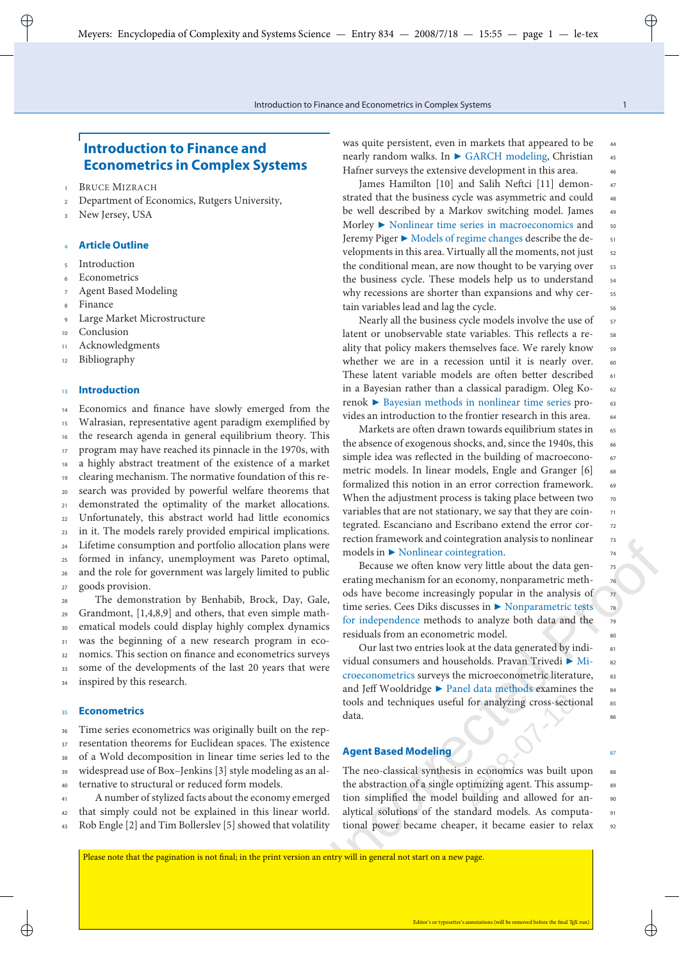# **Introduction to Finance and Econometrics in Complex Systems**

1 BRUCE MIZRACH

✐

- <sup>2</sup> Department of Economics, Rutgers University,
- New Jersey, USA

## <sup>4</sup> **Article Outline**

- **Introduction**
- Econometrics
- Agent Based Modeling
- Finance
- Large Market Microstructure
- Conclusion
- <sup>11</sup> Acknowledgments
- <sup>12</sup> Bibliography

#### <sup>13</sup> **Introduction**

<sup>14</sup> Economics and finance have slowly emerged from the <sup>15</sup> Walrasian, representative agent paradigm exemplified by

- <sup>16</sup> the research agenda in general equilibrium theory. This
- 17 program may have reached its pinnacle in the 1970s, with
- <sup>18</sup> a highly abstract treatment of the existence of a market
- <sup>19</sup> clearing mechanism. The normative foundation of this re-
- <sup>20</sup> search was provided by powerful welfare theorems that
- <sup>21</sup> demonstrated the optimality of the market allocations.
- <sup>22</sup> Unfortunately, this abstract world had little economics
- <sup>23</sup> in it. The models rarely provided empirical implications.
- <sup>24</sup> Lifetime consumption and portfolio allocation plans were

<sup>25</sup> formed in infancy, unemployment was Pareto optimal, and the role for government was largely limited to public <sup>27</sup> goods provision.

 The demonstration by Benhabib, Brock, Day, Gale, Grandmont, [1,4,8,9] and others, that even simple math- ematical models could display highly complex dynamics was the beginning of a new research program in eco- nomics. This section on finance and econometrics surveys some of the developments of the last 20 years that were inspired by this research.

## <sup>35</sup> **Econometrics**

✐

 Time series econometrics was originally built on the rep- resentation theorems for Euclidean spaces. The existence of a Wold decomposition in linear time series led to the widespread use of Box–Jenkins [3] style modeling as an al-ternative to structural or reduced form models.

<sup>41</sup> A number of stylized facts about the economy emerged

<sup>42</sup> that simply could not be explained in this linear world. Rob Engle [2] and Tim Bollerslev [5] showed that volatility was quite persistent, even in markets that appeared to be 44 nearly random walks. In ► GARCH modeling, Christian 45 Hafner surveys the extensive development in this area.  $46$ 

James Hamilton [10] and Salih Neftci [11] demonstrated that the business cycle was asymmetric and could 48 be well described by a Markov switching model. James 49 Morley > Nonlinear time series in macroeconomics and so Jeremy Piger  $\blacktriangleright$  Models of regime changes describe the developments in this area. Virtually all the moments, not just sz the conditional mean, are now thought to be varying over  $\frac{53}{2}$ the business cycle. These models help us to understand 54 why recessions are shorter than expansions and why certain variables lead and lag the cycle.

Nearly all the business cycle models involve the use of 57 latent or unobservable state variables. This reflects a reality that policy makers themselves face. We rarely know 59 whether we are in a recession until it is nearly over.  $60$ These latent variable models are often better described 61 in a Bayesian rather than a classical paradigm. Oleg Ko- <sup>62</sup> renok ► Bayesian methods in nonlinear time series pro- 63 vides an introduction to the frontier research in this area. 64

Markets are often drawn towards equilibrium states in 65 the absence of exogenous shocks, and, since the 1940s, this 66 simple idea was reflected in the building of macroeconometric models. In linear models, Engle and Granger [6] 68 formalized this notion in an error correction framework. 69 When the adjustment process is taking place between two variables that are not stationary, we say that they are cointegrated. Escanciano and Escribano extend the error cor- <sup>72</sup> rection framework and cointegration analysis to nonlinear  $\frac{73}{2}$ models in Nonlinear cointegration . <sup>74</sup>

Because we often know very little about the data generating mechanism for an economy, nonparametric meth- <sup>76</sup> ods have become increasingly popular in the analysis of  $\pi$ time series. Cees Diks discusses in  $\blacktriangleright$  Nonparametric tests 78 for independence methods to analyze both data and the 79 residuals from an econometric model.

were<br>
models in  $\triangleright$  Nonlinear cointegration.<br>
models in  $\triangleright$  Nonlinear cointegration.<br>
Hublic<br>
Because we often know very little about the data gen-<br>
craining mechanism for an economy, nonparametric meth-<br>
dial, of s Our last two entries look at the data generated by indi-<br>81 vidual consumers and households. Pravan Trivedi > Mi- 82 croeconometrics surveys the microeconometric literature, s and Jeff Wooldridge > Panel data methods examines the 84 tools and techniques useful for analyzing cross-sectional as data. <sup>86</sup>

### **Agent Based Modeling 87 and 87 and 87 and 87 and 87 and 87 and 87 and 87 and 87 and 87 and 87 and 87 and 87 and 87 and 87 and 87 and 87 and 87 and 87 and 87 and 87 and 87 and 87 and 87 and 87 and 87 and 87 and 87 and 87 a**

The neo-classical synthesis in economics was built upon the abstraction of a single optimizing agent. This assumption simplified the model building and allowed for analytical solutions of the standard models. As computational power became cheaper, it became easier to relax 92

Please note that the pagination is not final; in the print version an entry will in general not start on a new page.

✐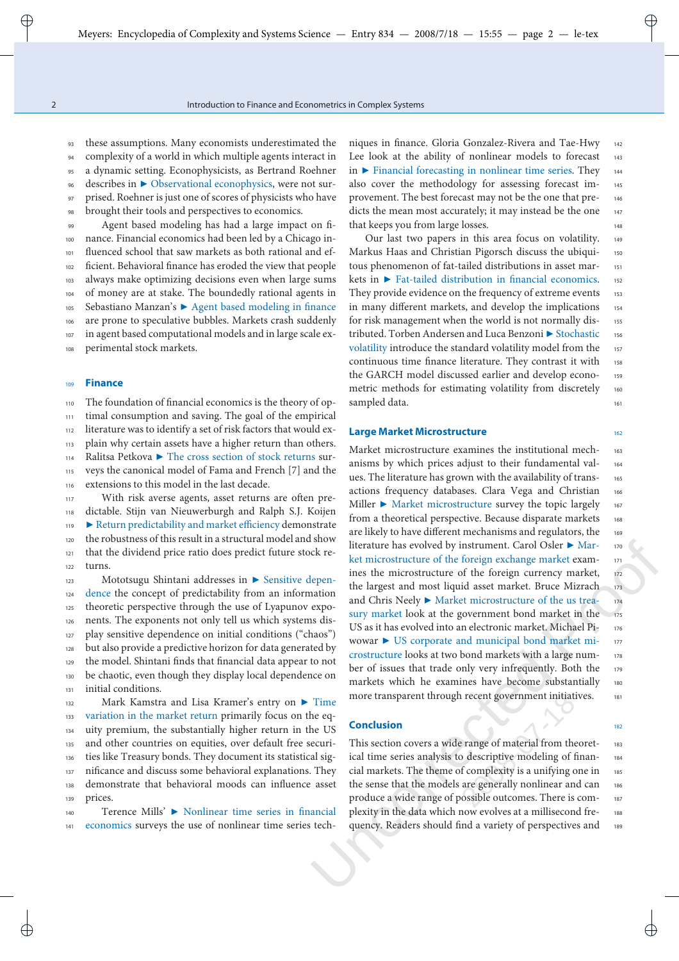<sup>93</sup> these assumptions. Many economists underestimated the

94 complexity of a world in which multiple agents interact in

<sup>95</sup> a dynamic setting. Econophysicists, as Bertrand Roehner

<sup>96</sup> describes in Observational econophysics, were not sur-

97 prised. Roehner is just one of scores of physicists who have

<sup>98</sup> brought their tools and perspectives to economics.

 Agent based modeling has had a large impact on fi- nance. Financial economics had been led by a Chicago in- fluenced school that saw markets as both rational and ef- ficient. Behavioral finance has eroded the view that people always make optimizing decisions even when large sums of money are at stake. The boundedly rational agents in 105 Sebastiano Manzan's > Agent based modeling in finance are prone to speculative bubbles. Markets crash suddenly in agent based computational models and in large scale ex-

<sup>108</sup> perimental stock markets.

#### <sup>109</sup> **Finance**

<sup>110</sup> The foundation of financial economics is the theory of op-<sup>111</sup> timal consumption and saving. The goal of the empirical

112 literature was to identify a set of risk factors that would ex-

113 plain why certain assets have a higher return than others.

114 Ralitsa Petkova  $\blacktriangleright$  The cross section of stock returns sur-

<sup>115</sup> veys the canonical model of Fama and French [7] and the 116 extensions to this model in the last decade.

With risk averse agents, asset returns are often pre-<sup>118</sup> dictable. Stijn van Nieuwerburgh and Ralph S.J. Koijen 119  $\blacktriangleright$  Return predictability and market efficiency demonstrate <sup>120</sup> the robustness of this result in a structural model and show 121 that the dividend price ratio does predict future stock re-<sup>122</sup> turns.

123 Mototsugu Shintani addresses in  $\blacktriangleright$  Sensitive depen- dence the concept of predictability from an information theoretic perspective through the use of Lyapunov expo- nents. The exponents not only tell us which systems dis- play sensitive dependence on initial conditions ("chaos") but also provide a predictive horizon for data generated by the model. Shintani finds that financial data appear to not be chaotic, even though they display local dependence on 131 initial conditions.

132 Mark Kamstra and Lisa Kramer's entry on Time 133 variation in the market return primarily focus on the eq-<sup>134</sup> uity premium, the substantially higher return in the US 135 and other countries on equities, over default free securi-<sup>136</sup> ties like Treasury bonds. They document its statistical sig-137 nificance and discuss some behavioral explanations. They <sup>138</sup> demonstrate that behavioral moods can influence asset <sup>139</sup> prices.

140 Terence Mills'  $\triangleright$  Nonlinear time series in financial <sup>141</sup> economics surveys the use of nonlinear time series techniques in finance. Gloria Gonzalez-Rivera and Tae-Hwy <sup>142</sup> Lee look at the ability of nonlinear models to forecast 143 in ► Financial forecasting in nonlinear time series. They 144 also cover the methodology for assessing forecast im- <sup>145</sup> provement. The best forecast may not be the one that pre- <sup>146</sup> dicts the mean most accurately; it may instead be the one 147 that keeps you from large losses.

Our last two papers in this area focus on volatility. 149 Markus Haas and Christian Pigorsch discuss the ubiqui-<br>150 tous phenomenon of fat-tailed distributions in asset mar- <sup>151</sup> kets in Fat-tailed distribution in financial economics . <sup>152</sup> They provide evidence on the frequency of extreme events 153 in many different markets, and develop the implications 154 for risk management when the world is not normally dis- <sup>155</sup> tributed. Torben Andersen and Luca Benzoni > Stochastic 156 volatility introduce the standard volatility model from the 157 continuous time finance literature. They contrast it with 158 the GARCH model discussed earlier and develop econo-<br>159 metric methods for estimating volatility from discretely 160 sampled data. 161

## **Large Market Microstructure** 162

Solution the contribution of the foreign exchange market examples the microstructure of the foreign extrameduation in the largest and most liquid asset market. Bruce Mizrach the largest and most liquid asset market. Bruce Market microstructure examines the institutional mech-<br>163 anisms by which prices adjust to their fundamental val- <sup>164</sup> ues. The literature has grown with the availability of trans- <sup>165</sup> actions frequency databases. Clara Vega and Christian 166 Miller > Market microstructure survey the topic largely 167 from a theoretical perspective. Because disparate markets 168 are likely to have different mechanisms and regulators, the 169 literature has evolved by instrument. Carol Osler ▶ Mar- 170 ket microstructure of the foreign exchange market exam- <sup>171</sup> ines the microstructure of the foreign currency market, 172 the largest and most liquid asset market. Bruce Mizrach 173 and Chris Neely  $\blacktriangleright$  Market microstructure of the us treasury market look at the government bond market in the 175 US as it has evolved into an electronic market. Michael Pi- <sup>176</sup> wowar > US corporate and municipal bond market microstructure looks at two bond markets with a large num- <sup>178</sup> ber of issues that trade only very infrequently. Both the 179 markets which he examines have become substantially 180 more transparent through recent government initiatives. 181

## **Conclusion** 182

This section covers a wide range of material from theoret-<br>183 ical time series analysis to descriptive modeling of finan- <sup>184</sup> cial markets. The theme of complexity is a unifying one in 185 the sense that the models are generally nonlinear and can 186 produce a wide range of possible outcomes. There is complexity in the data which now evolves at a millisecond fre- <sup>188</sup> quency. Readers should find a variety of perspectives and 189

✐

✐

✐